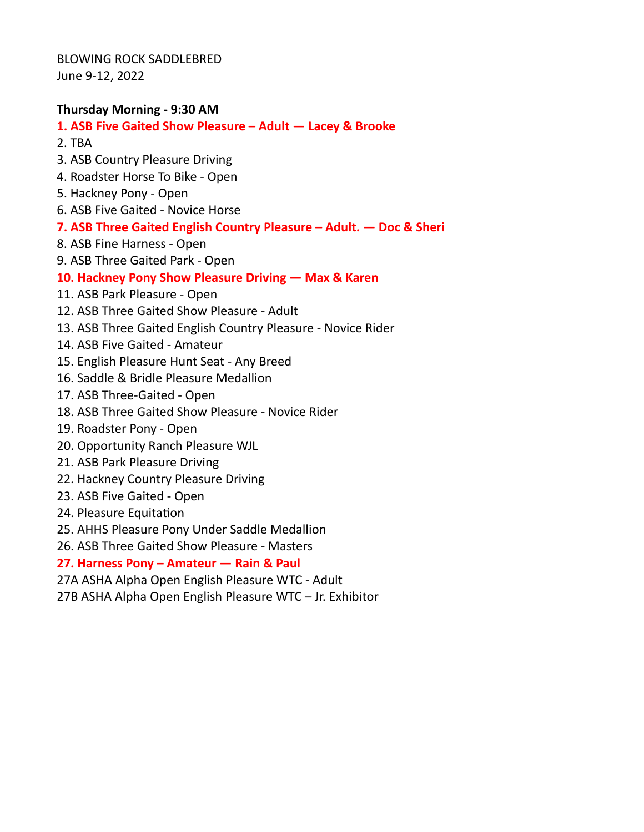BLOWING ROCK SADDLEBRED June 9-12, 2022

### **Thursday Morning - 9:30 AM**

#### **1. ASB Five Gaited Show Pleasure – Adult — Lacey & Brooke**

- 2. TBA
- 3. ASB Country Pleasure Driving
- 4. Roadster Horse To Bike Open
- 5. Hackney Pony Open
- 6. ASB Five Gaited Novice Horse
- **7. ASB Three Gaited English Country Pleasure Adult. Doc & Sheri**
- 8. ASB Fine Harness Open
- 9. ASB Three Gaited Park Open

#### **10. Hackney Pony Show Pleasure Driving — Max & Karen**

- 11. ASB Park Pleasure Open
- 12. ASB Three Gaited Show Pleasure Adult
- 13. ASB Three Gaited English Country Pleasure Novice Rider
- 14. ASB Five Gaited Amateur
- 15. English Pleasure Hunt Seat Any Breed
- 16. Saddle & Bridle Pleasure Medallion
- 17. ASB Three-Gaited Open
- 18. ASB Three Gaited Show Pleasure Novice Rider
- 19. Roadster Pony Open
- 20. Opportunity Ranch Pleasure WJL
- 21. ASB Park Pleasure Driving
- 22. Hackney Country Pleasure Driving
- 23. ASB Five Gaited Open
- 24. Pleasure Equitation
- 25. AHHS Pleasure Pony Under Saddle Medallion
- 26. ASB Three Gaited Show Pleasure Masters

#### **27. Harness Pony – Amateur — Rain & Paul**

- 27A ASHA Alpha Open English Pleasure WTC Adult
- 27B ASHA Alpha Open English Pleasure WTC Jr. Exhibitor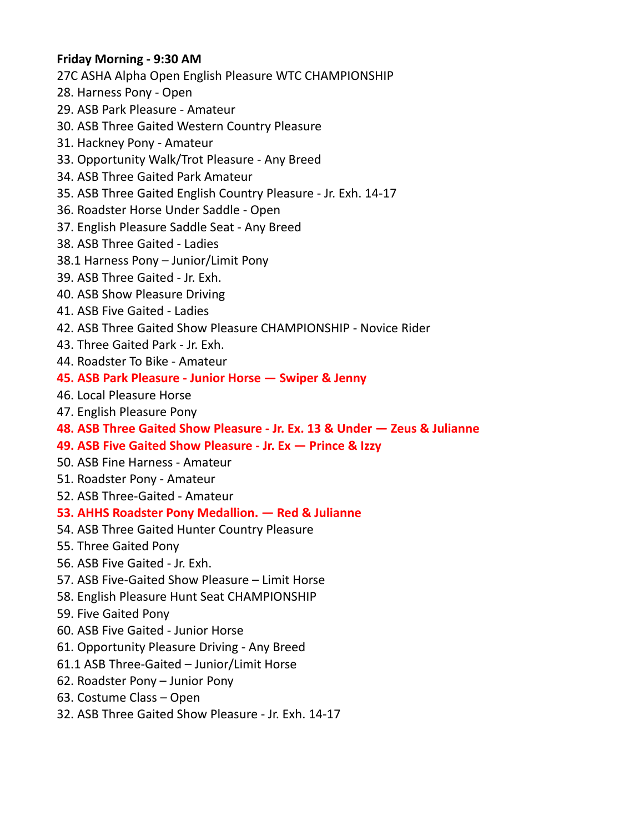## **Friday Morning - 9:30 AM**

27C ASHA Alpha Open English Pleasure WTC CHAMPIONSHIP

- 28. Harness Pony Open
- 29. ASB Park Pleasure Amateur
- 30. ASB Three Gaited Western Country Pleasure
- 31. Hackney Pony Amateur
- 33. Opportunity Walk/Trot Pleasure Any Breed
- 34. ASB Three Gaited Park Amateur
- 35. ASB Three Gaited English Country Pleasure Jr. Exh. 14-17
- 36. Roadster Horse Under Saddle Open
- 37. English Pleasure Saddle Seat Any Breed
- 38. ASB Three Gaited Ladies
- 38.1 Harness Pony Junior/Limit Pony
- 39. ASB Three Gaited Jr. Exh.
- 40. ASB Show Pleasure Driving
- 41. ASB Five Gaited Ladies
- 42. ASB Three Gaited Show Pleasure CHAMPIONSHIP Novice Rider
- 43. Three Gaited Park Jr. Exh.
- 44. Roadster To Bike Amateur
- **45. ASB Park Pleasure Junior Horse Swiper & Jenny**
- 46. Local Pleasure Horse
- 47. English Pleasure Pony
- **48. ASB Three Gaited Show Pleasure Jr. Ex. 13 & Under Zeus & Julianne**
- **49. ASB Five Gaited Show Pleasure Jr. Ex Prince & Izzy**
- 50. ASB Fine Harness Amateur
- 51. Roadster Pony Amateur
- 52. ASB Three-Gaited Amateur
- **53. AHHS Roadster Pony Medallion. Red & Julianne**
- 54. ASB Three Gaited Hunter Country Pleasure
- 55. Three Gaited Pony
- 56. ASB Five Gaited Jr. Exh.
- 57. ASB Five-Gaited Show Pleasure Limit Horse
- 58. English Pleasure Hunt Seat CHAMPIONSHIP
- 59. Five Gaited Pony
- 60. ASB Five Gaited Junior Horse
- 61. Opportunity Pleasure Driving Any Breed
- 61.1 ASB Three-Gaited Junior/Limit Horse
- 62. Roadster Pony Junior Pony
- 63. Costume Class Open
- 32. ASB Three Gaited Show Pleasure Jr. Exh. 14-17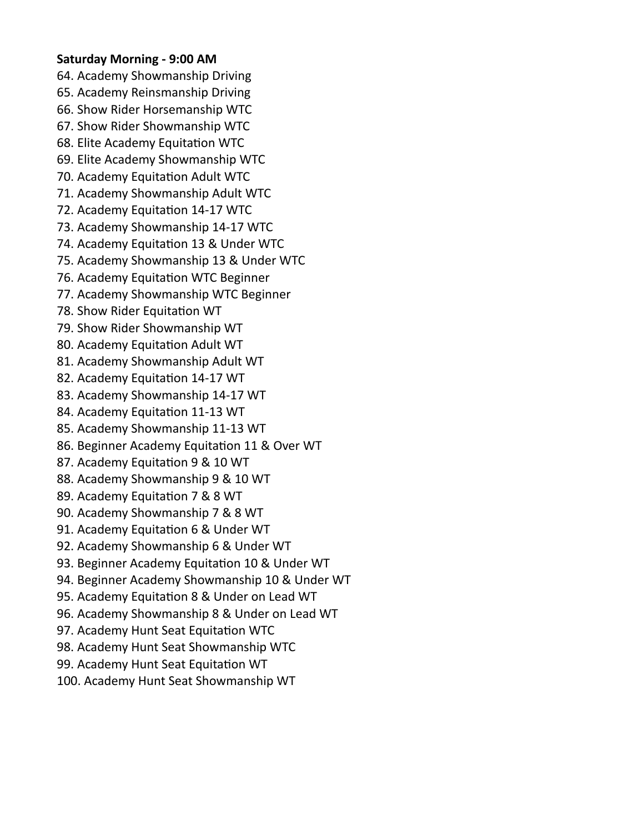### **Saturday Morning - 9:00 AM**

64. Academy Showmanship Driving 65. Academy Reinsmanship Driving 66. Show Rider Horsemanship WTC 67. Show Rider Showmanship WTC 68. Elite Academy Equitation WTC 69. Elite Academy Showmanship WTC 70. Academy Equitation Adult WTC 71. Academy Showmanship Adult WTC 72. Academy Equitation 14-17 WTC 73. Academy Showmanship 14-17 WTC 74. Academy Equitation 13 & Under WTC 75. Academy Showmanship 13 & Under WTC 76. Academy Equitation WTC Beginner 77. Academy Showmanship WTC Beginner 78. Show Rider Equitation WT 79. Show Rider Showmanship WT 80. Academy Equitation Adult WT 81. Academy Showmanship Adult WT 82. Academy Equitation 14-17 WT 83. Academy Showmanship 14-17 WT 84. Academy Equitation 11-13 WT 85. Academy Showmanship 11-13 WT 86. Beginner Academy Equitation 11 & Over WT 87. Academy Equitation 9 & 10 WT 88. Academy Showmanship 9 & 10 WT 89. Academy Equitation 7 & 8 WT 90. Academy Showmanship 7 & 8 WT 91. Academy Equitation 6 & Under WT 92. Academy Showmanship 6 & Under WT 93. Beginner Academy Equitation 10 & Under WT 94. Beginner Academy Showmanship 10 & Under WT 95. Academy Equitation 8 & Under on Lead WT 96. Academy Showmanship 8 & Under on Lead WT 97. Academy Hunt Seat Equitation WTC 98. Academy Hunt Seat Showmanship WTC 99. Academy Hunt Seat Equitation WT 100. Academy Hunt Seat Showmanship WT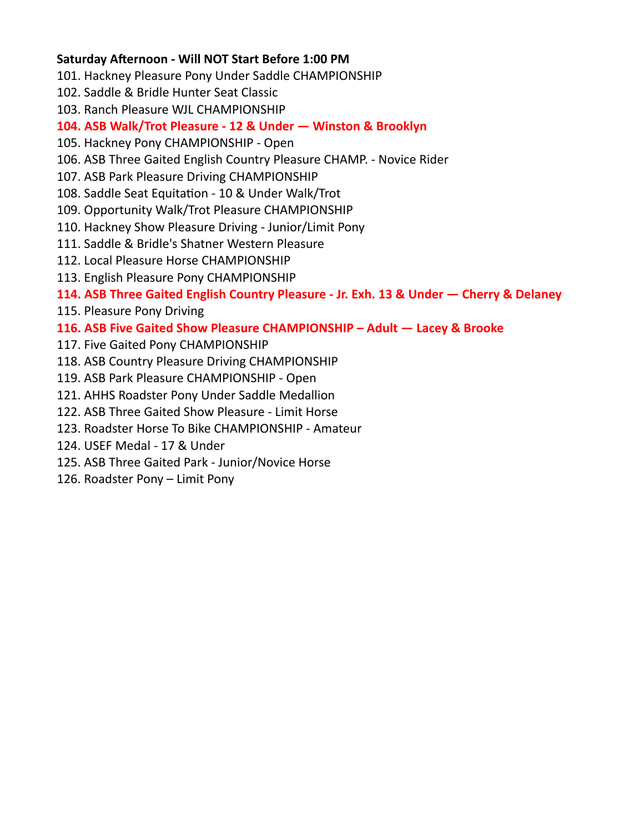## **Saturday Afternoon - Will NOT Start Before 1:00 PM**

- 101. Hackney Pleasure Pony Under Saddle CHAMPIONSHIP
- 102. Saddle & Bridle Hunter Seat Classic
- 103. Ranch Pleasure WJL CHAMPIONSHIP

# **104. ASB Walk/Trot Pleasure - 12 & Under — Winston & Brooklyn**

- 105. Hackney Pony CHAMPIONSHIP Open
- 106. ASB Three Gaited English Country Pleasure CHAMP. Novice Rider
- 107. ASB Park Pleasure Driving CHAMPIONSHIP
- 108. Saddle Seat Equitation 10 & Under Walk/Trot
- 109. Opportunity Walk/Trot Pleasure CHAMPIONSHIP
- 110. Hackney Show Pleasure Driving Junior/Limit Pony
- 111. Saddle & Bridle's Shatner Western Pleasure
- 112. Local Pleasure Horse CHAMPIONSHIP
- 113. English Pleasure Pony CHAMPIONSHIP

# **114. ASB Three Gaited English Country Pleasure - Jr. Exh. 13 & Under — Cherry & Delaney**

115. Pleasure Pony Driving

# **116. ASB Five Gaited Show Pleasure CHAMPIONSHIP – Adult — Lacey & Brooke**

- 117. Five Gaited Pony CHAMPIONSHIP
- 118. ASB Country Pleasure Driving CHAMPIONSHIP
- 119. ASB Park Pleasure CHAMPIONSHIP Open
- 121. AHHS Roadster Pony Under Saddle Medallion
- 122. ASB Three Gaited Show Pleasure Limit Horse
- 123. Roadster Horse To Bike CHAMPIONSHIP Amateur
- 124. USEF Medal 17 & Under
- 125. ASB Three Gaited Park Junior/Novice Horse
- 126. Roadster Pony Limit Pony